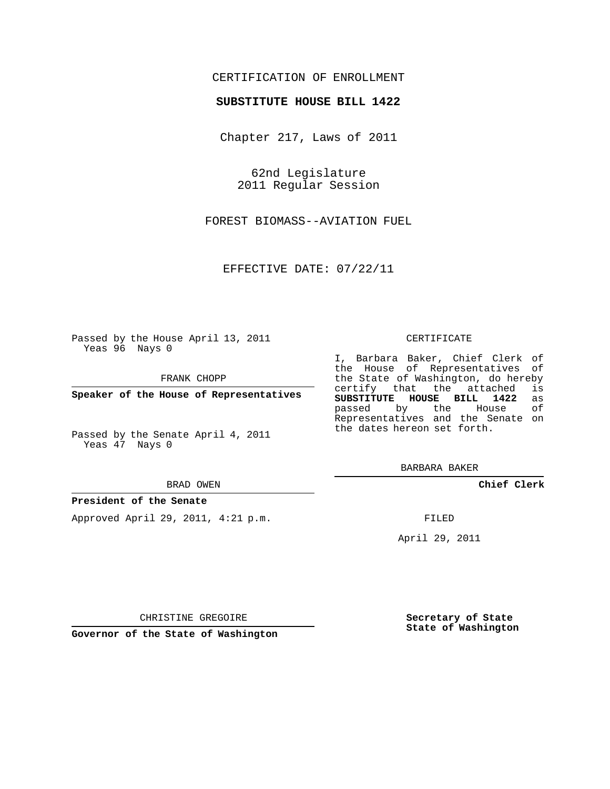## CERTIFICATION OF ENROLLMENT

### **SUBSTITUTE HOUSE BILL 1422**

Chapter 217, Laws of 2011

62nd Legislature 2011 Regular Session

FOREST BIOMASS--AVIATION FUEL

EFFECTIVE DATE: 07/22/11

Passed by the House April 13, 2011 Yeas 96 Nays 0

FRANK CHOPP

**Speaker of the House of Representatives**

Passed by the Senate April 4, 2011 Yeas 47 Nays 0

BRAD OWEN

#### **President of the Senate**

Approved April 29, 2011, 4:21 p.m.

CERTIFICATE

I, Barbara Baker, Chief Clerk of the House of Representatives of the State of Washington, do hereby<br>certify that the attached is certify that the attached is<br>SUBSTITUTE HOUSE BILL 1422 as **SUBSTITUTE HOUSE BILL 1422** as passed by the Representatives and the Senate on the dates hereon set forth.

BARBARA BAKER

**Chief Clerk**

FILED

April 29, 2011

CHRISTINE GREGOIRE

**Governor of the State of Washington**

**Secretary of State State of Washington**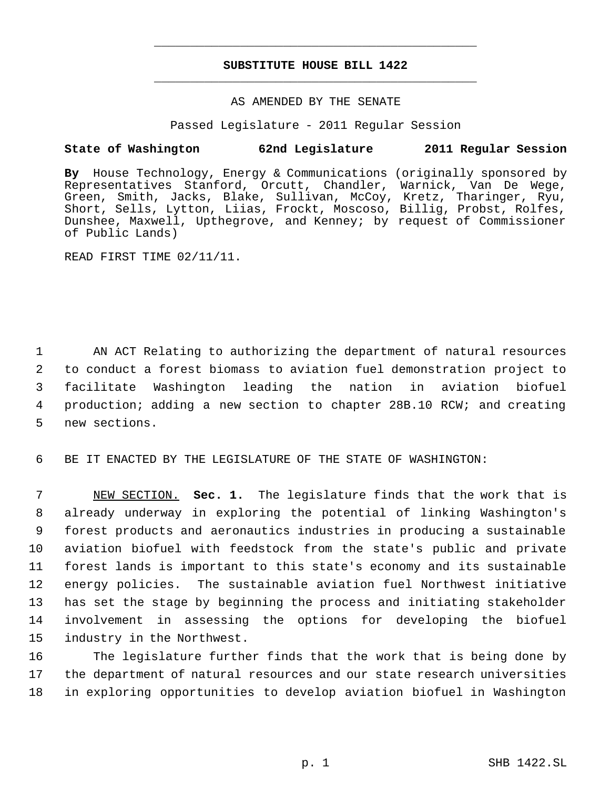# **SUBSTITUTE HOUSE BILL 1422** \_\_\_\_\_\_\_\_\_\_\_\_\_\_\_\_\_\_\_\_\_\_\_\_\_\_\_\_\_\_\_\_\_\_\_\_\_\_\_\_\_\_\_\_\_

\_\_\_\_\_\_\_\_\_\_\_\_\_\_\_\_\_\_\_\_\_\_\_\_\_\_\_\_\_\_\_\_\_\_\_\_\_\_\_\_\_\_\_\_\_

### AS AMENDED BY THE SENATE

Passed Legislature - 2011 Regular Session

## **State of Washington 62nd Legislature 2011 Regular Session**

**By** House Technology, Energy & Communications (originally sponsored by Representatives Stanford, Orcutt, Chandler, Warnick, Van De Wege, Green, Smith, Jacks, Blake, Sullivan, McCoy, Kretz, Tharinger, Ryu, Short, Sells, Lytton, Liias, Frockt, Moscoso, Billig, Probst, Rolfes, Dunshee, Maxwell, Upthegrove, and Kenney; by request of Commissioner of Public Lands)

READ FIRST TIME 02/11/11.

 AN ACT Relating to authorizing the department of natural resources to conduct a forest biomass to aviation fuel demonstration project to facilitate Washington leading the nation in aviation biofuel production; adding a new section to chapter 28B.10 RCW; and creating new sections.

6 BE IT ENACTED BY THE LEGISLATURE OF THE STATE OF WASHINGTON:

 NEW SECTION. **Sec. 1.** The legislature finds that the work that is already underway in exploring the potential of linking Washington's forest products and aeronautics industries in producing a sustainable aviation biofuel with feedstock from the state's public and private forest lands is important to this state's economy and its sustainable energy policies. The sustainable aviation fuel Northwest initiative has set the stage by beginning the process and initiating stakeholder involvement in assessing the options for developing the biofuel industry in the Northwest.

16 The legislature further finds that the work that is being done by 17 the department of natural resources and our state research universities 18 in exploring opportunities to develop aviation biofuel in Washington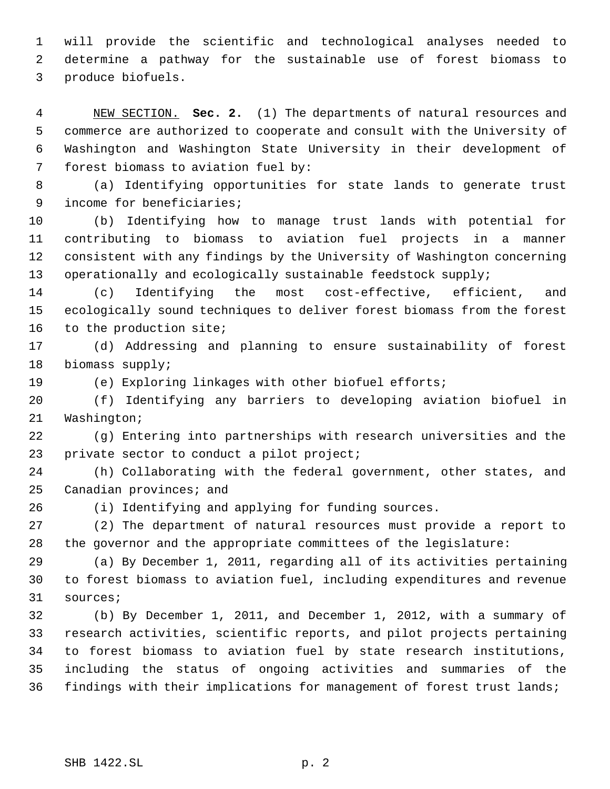will provide the scientific and technological analyses needed to determine a pathway for the sustainable use of forest biomass to produce biofuels.

 NEW SECTION. **Sec. 2.** (1) The departments of natural resources and commerce are authorized to cooperate and consult with the University of Washington and Washington State University in their development of forest biomass to aviation fuel by:

 (a) Identifying opportunities for state lands to generate trust income for beneficiaries;

 (b) Identifying how to manage trust lands with potential for contributing to biomass to aviation fuel projects in a manner consistent with any findings by the University of Washington concerning operationally and ecologically sustainable feedstock supply;

 (c) Identifying the most cost-effective, efficient, and ecologically sound techniques to deliver forest biomass from the forest to the production site;

 (d) Addressing and planning to ensure sustainability of forest biomass supply;

(e) Exploring linkages with other biofuel efforts;

 (f) Identifying any barriers to developing aviation biofuel in Washington;

 (g) Entering into partnerships with research universities and the private sector to conduct a pilot project;

 (h) Collaborating with the federal government, other states, and Canadian provinces; and

(i) Identifying and applying for funding sources.

 (2) The department of natural resources must provide a report to the governor and the appropriate committees of the legislature:

 (a) By December 1, 2011, regarding all of its activities pertaining to forest biomass to aviation fuel, including expenditures and revenue sources;

 (b) By December 1, 2011, and December 1, 2012, with a summary of research activities, scientific reports, and pilot projects pertaining to forest biomass to aviation fuel by state research institutions, including the status of ongoing activities and summaries of the findings with their implications for management of forest trust lands;